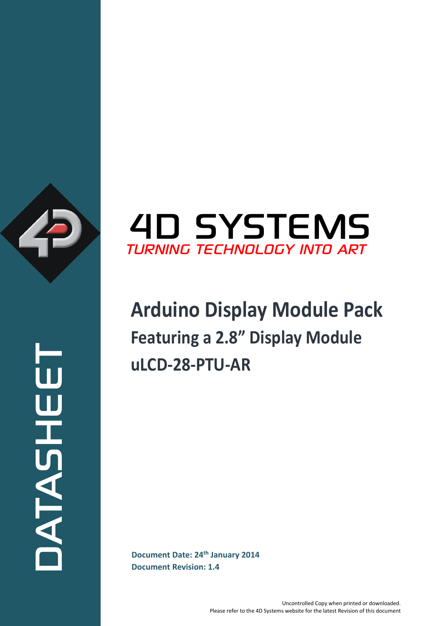

ATASHEET



# **Arduino Display Module Pack Featuring a 2.8" Display Module uLCD-28-PTU-AR**

**Document Date: 24<sup>th</sup> January 2014**<br>Document Revision: 1.4 **Document Revision: 1.4**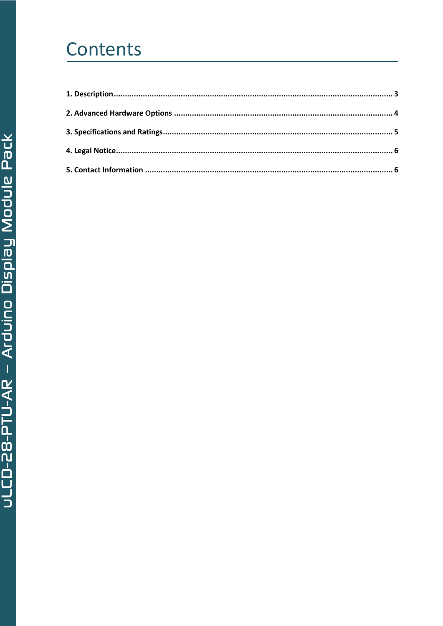## Contents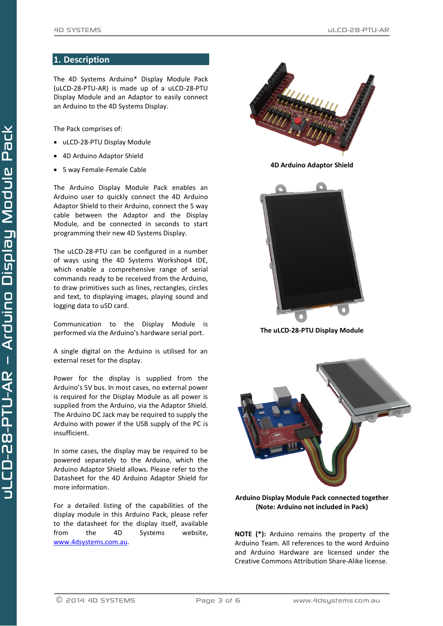#### <span id="page-2-0"></span>**1. Description**

The 4D Systems Arduino\* Display Module Pack (uLCD-28-PTU-AR) is made up of a uLCD-28-PTU Display Module and an Adaptor to easily connect an Arduino to the 4D Systems Display.

The Pack comprises of:

- uLCD-28-PTU Display Module
- 4D Arduino Adaptor Shield
- 5 way Female-Female Cable

The Arduino Display Module Pack enables an Arduino user to quickly connect the 4D Arduino Adaptor Shield to their Arduino, connect the 5 way cable between the Adaptor and the Display Module, and be connected in seconds to start programming their new 4D Systems Display.

The uLCD-28-PTU can be configured in a number of ways using the 4D Systems Workshop4 IDE, which enable a comprehensive range of serial commands ready to be received from the Arduino, to draw primitives such as lines, rectangles, circles and text, to displaying images, playing sound and logging data to uSD card.

Communication to the Display Module is performed via the Arduino's hardware serial port.

A single digital on the Arduino is utilised for an external reset for the display.

Power for the display is supplied from the Arduino's 5V bus. In most cases, no external power is required for the Display Module as all power is supplied from the Arduino, via the Adaptor Shield. The Arduino DC Jack may be required to supply the Arduino with power if the USB supply of the PC is insufficient.

In some cases, the display may be required to be powered separately to the Arduino, which the Arduino Adaptor Shield allows. Please refer to the Datasheet for the 4D Arduino Adaptor Shield for more information.

For a detailed listing of the capabilities of the display module in this Arduino Pack, please refer to the datasheet for the display itself, available from the 4D Systems website, [www.4dsystems.com.au.](http://www.4dsystems.com.au/)



**4D Arduino Adaptor Shield**



**The uLCD-28-PTU Display Module**



**Arduino Display Module Pack connected together (Note: Arduino not included in Pack)**

**NOTE (\*):** Arduino remains the property of the Arduino Team. All references to the word Arduino and Arduino Hardware are licensed under the Creative Commons Attribution Share-Alike license.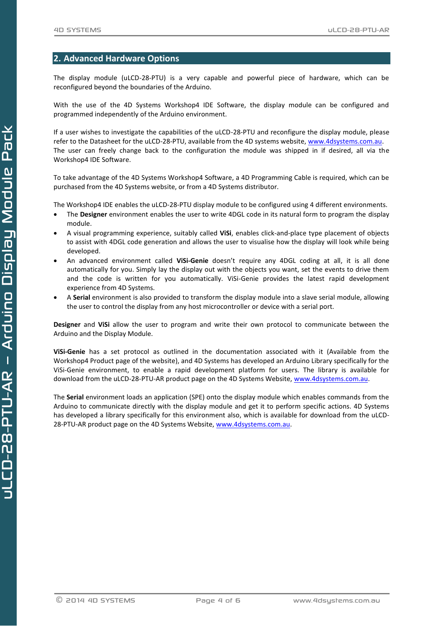#### <span id="page-3-0"></span>**2. Advanced Hardware Options**

The display module (uLCD-28-PTU) is a very capable and powerful piece of hardware, which can be reconfigured beyond the boundaries of the Arduino.

With the use of the 4D Systems Workshop4 IDE Software, the display module can be configured and programmed independently of the Arduino environment.

If a user wishes to investigate the capabilities of the uLCD-28-PTU and reconfigure the display module, please refer to the Datasheet for the uLCD-28-PTU, available from the 4D systems website, [www.4dsystems.com.au.](http://www.4dsystems.com.au/) The user can freely change back to the configuration the module was shipped in if desired, all via the Workshop4 IDE Software.

To take advantage of the 4D Systems Workshop4 Software, a 4D Programming Cable is required, which can be purchased from the 4D Systems website, or from a 4D Systems distributor.

The Workshop4 IDE enables the uLCD-28-PTU display module to be configured using 4 different environments.

- The **Designer** environment enables the user to write 4DGL code in its natural form to program the display module.
- A visual programming experience, suitably called **ViSi**, enables click-and-place type placement of objects to assist with 4DGL code generation and allows the user to visualise how the display will look while being developed.
- An advanced environment called **ViSi-Genie** doesn't require any 4DGL coding at all, it is all done automatically for you. Simply lay the display out with the objects you want, set the events to drive them and the code is written for you automatically. ViSi-Genie provides the latest rapid development experience from 4D Systems.
- A **Serial** environment is also provided to transform the display module into a slave serial module, allowing the user to control the display from any host microcontroller or device with a serial port.

**Designer** and **ViSi** allow the user to program and write their own protocol to communicate between the Arduino and the Display Module.

**ViSi-Genie** has a set protocol as outlined in the documentation associated with it (Available from the Workshop4 Product page of the website), and 4D Systems has developed an Arduino Library specifically for the ViSi-Genie environment, to enable a rapid development platform for users. The library is available for download from the uLCD-28-PTU-AR product page on the 4D Systems Website, [www.4dsystems.com.au.](http://www.4dsystems.com.au/)

The **Serial** environment loads an application (SPE) onto the display module which enables commands from the Arduino to communicate directly with the display module and get it to perform specific actions. 4D Systems has developed a library specifically for this environment also, which is available for download from the uLCD-28-PTU-AR product page on the 4D Systems Website[, www.4dsystems.com.au.](http://www.4dsystems.com.au/)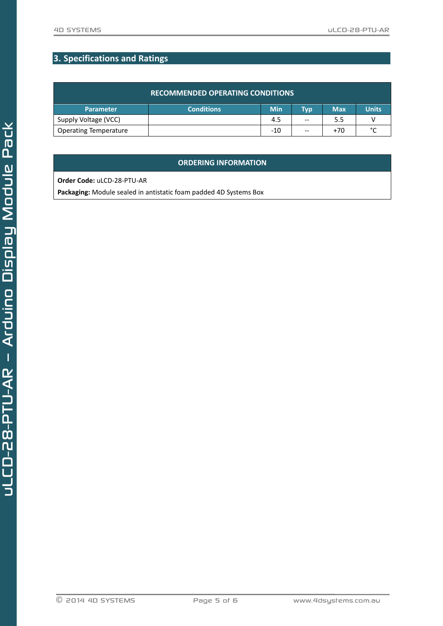### <span id="page-4-0"></span>**3. Specifications and Ratings**

| <b>RECOMMENDED OPERATING CONDITIONS</b> |                   |            |       |            |              |  |
|-----------------------------------------|-------------------|------------|-------|------------|--------------|--|
| <b>Parameter</b>                        | <b>Conditions</b> | <b>Min</b> | Typ   | <b>Max</b> | <b>Units</b> |  |
| Supply Voltage (VCC)                    |                   | 4.5        | $- -$ | 5.5        |              |  |
| <b>Operating Temperature</b>            |                   | $-10$      | $- -$ | $+70$      | $\sim$       |  |

#### **ORDERING INFORMATION**

**Order Code:** uLCD-28-PTU-AR

**Packaging:** Module sealed in antistatic foam padded 4D Systems Box